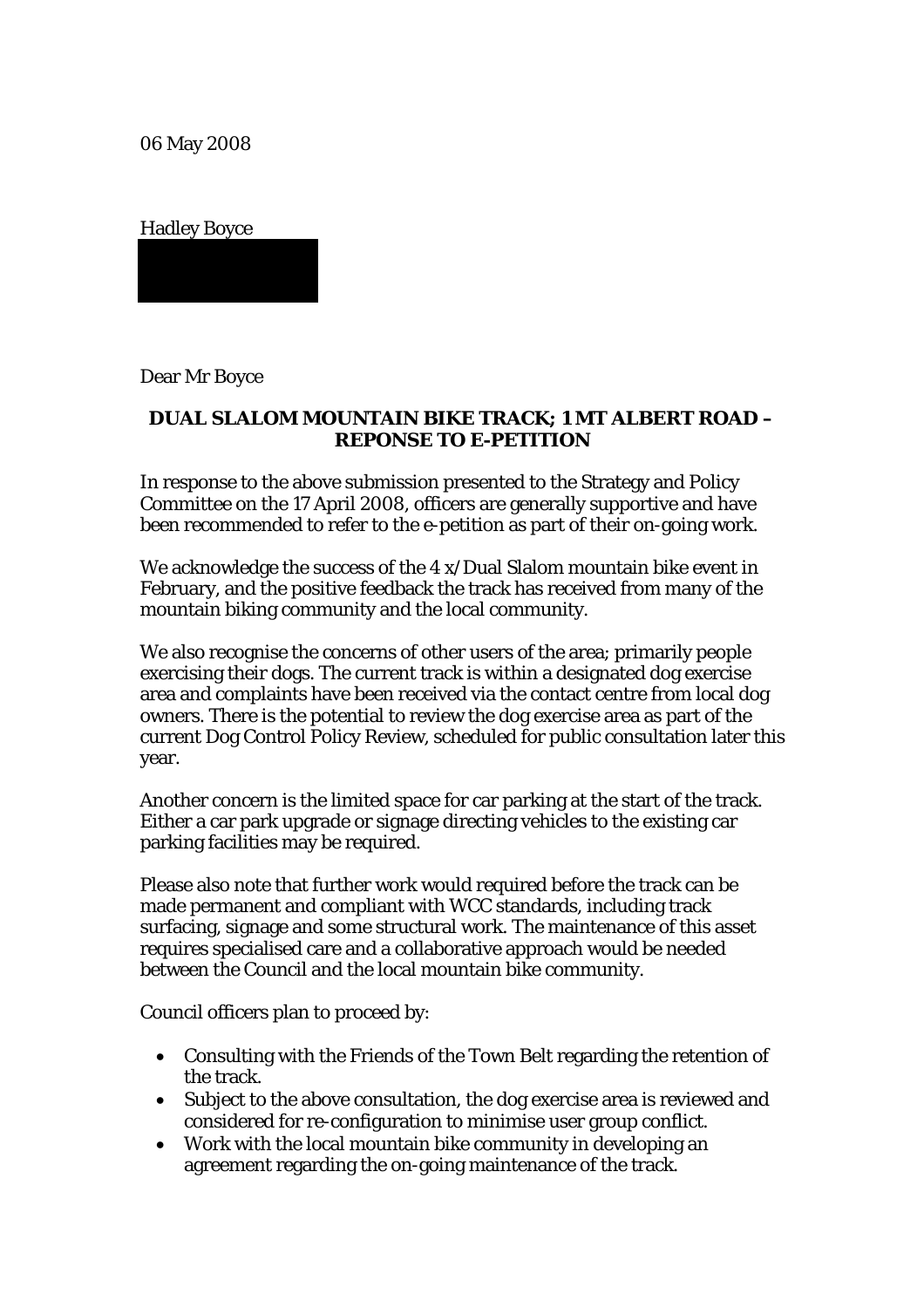06 May 2008

Hadley Boyce

Dear Mr Boyce

## **DUAL SLALOM MOUNTAIN BIKE TRACK; 1 MT ALBERT ROAD – REPONSE TO E-PETITION**

In response to the above submission presented to the Strategy and Policy Committee on the 17 April 2008, officers are generally supportive and have been recommended to refer to the e-petition as part of their on-going work.

We acknowledge the success of the 4 x/Dual Slalom mountain bike event in February, and the positive feedback the track has received from many of the mountain biking community and the local community.

We also recognise the concerns of other users of the area; primarily people exercising their dogs. The current track is within a designated dog exercise area and complaints have been received via the contact centre from local dog owners. There is the potential to review the dog exercise area as part of the current Dog Control Policy Review, scheduled for public consultation later this year.

Another concern is the limited space for car parking at the start of the track. Either a car park upgrade or signage directing vehicles to the existing car parking facilities may be required.

Please also note that further work would required before the track can be made permanent and compliant with WCC standards, including track surfacing, signage and some structural work. The maintenance of this asset requires specialised care and a collaborative approach would be needed between the Council and the local mountain bike community.

Council officers plan to proceed by:

- Consulting with the Friends of the Town Belt regarding the retention of the track.
- Subject to the above consultation, the dog exercise area is reviewed and considered for re-configuration to minimise user group conflict.
- Work with the local mountain bike community in developing an agreement regarding the on-going maintenance of the track.